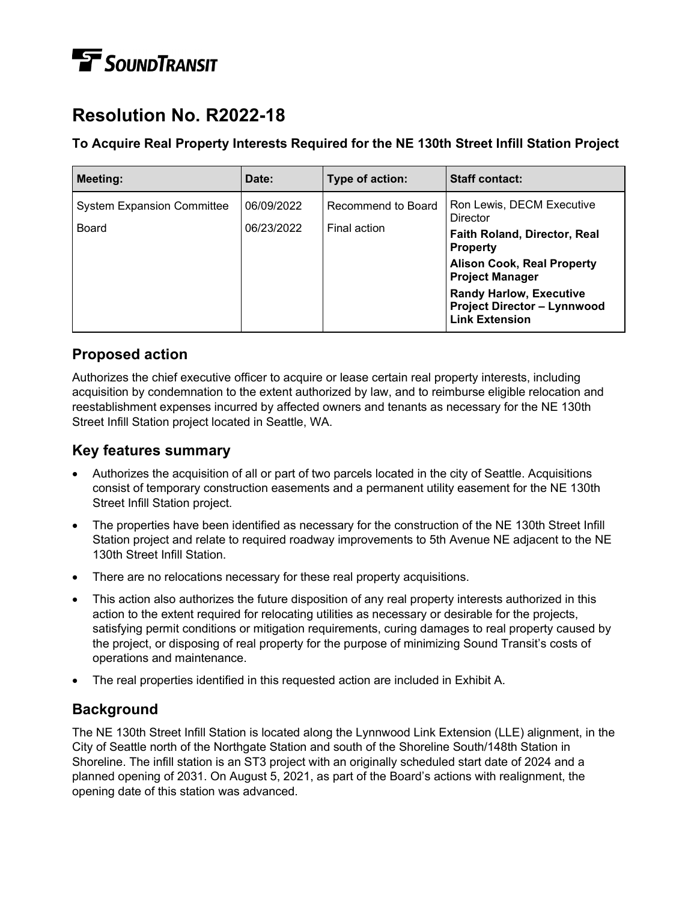# **TE** SOUNDTRANSIT

# **Resolution No. R2022-18**

#### **To Acquire Real Property Interests Required for the NE 130th Street Infill Station Project**

| Meeting:                                          | Date:                    | Type of action:                    | Staff contact:                                                                                                                                                                                                                                                  |
|---------------------------------------------------|--------------------------|------------------------------------|-----------------------------------------------------------------------------------------------------------------------------------------------------------------------------------------------------------------------------------------------------------------|
| <b>System Expansion Committee</b><br><b>Board</b> | 06/09/2022<br>06/23/2022 | Recommend to Board<br>Final action | Ron Lewis, DECM Executive<br><b>Director</b><br>Faith Roland, Director, Real<br><b>Property</b><br><b>Alison Cook, Real Property</b><br><b>Project Manager</b><br><b>Randy Harlow, Executive</b><br><b>Project Director - Lynnwood</b><br><b>Link Extension</b> |

#### **Proposed action**

Authorizes the chief executive officer to acquire or lease certain real property interests, including acquisition by condemnation to the extent authorized by law, and to reimburse eligible relocation and reestablishment expenses incurred by affected owners and tenants as necessary for the NE 130th Street Infill Station project located in Seattle, WA.

#### **Key features summary**

- Authorizes the acquisition of all or part of two parcels located in the city of Seattle. Acquisitions consist of temporary construction easements and a permanent utility easement for the NE 130th Street Infill Station project.
- The properties have been identified as necessary for the construction of the NE 130th Street Infill Station project and relate to required roadway improvements to 5th Avenue NE adjacent to the NE 130th Street Infill Station.
- There are no relocations necessary for these real property acquisitions.
- This action also authorizes the future disposition of any real property interests authorized in this action to the extent required for relocating utilities as necessary or desirable for the projects, satisfying permit conditions or mitigation requirements, curing damages to real property caused by the project, or disposing of real property for the purpose of minimizing Sound Transit's costs of operations and maintenance.
- The real properties identified in this requested action are included in Exhibit A.

## **Background**

The NE 130th Street Infill Station is located along the Lynnwood Link Extension (LLE) alignment, in the City of Seattle north of the Northgate Station and south of the Shoreline South/148th Station in Shoreline. The infill station is an ST3 project with an originally scheduled start date of 2024 and a planned opening of 2031. On August 5, 2021, as part of the Board's actions with realignment, the opening date of this station was advanced.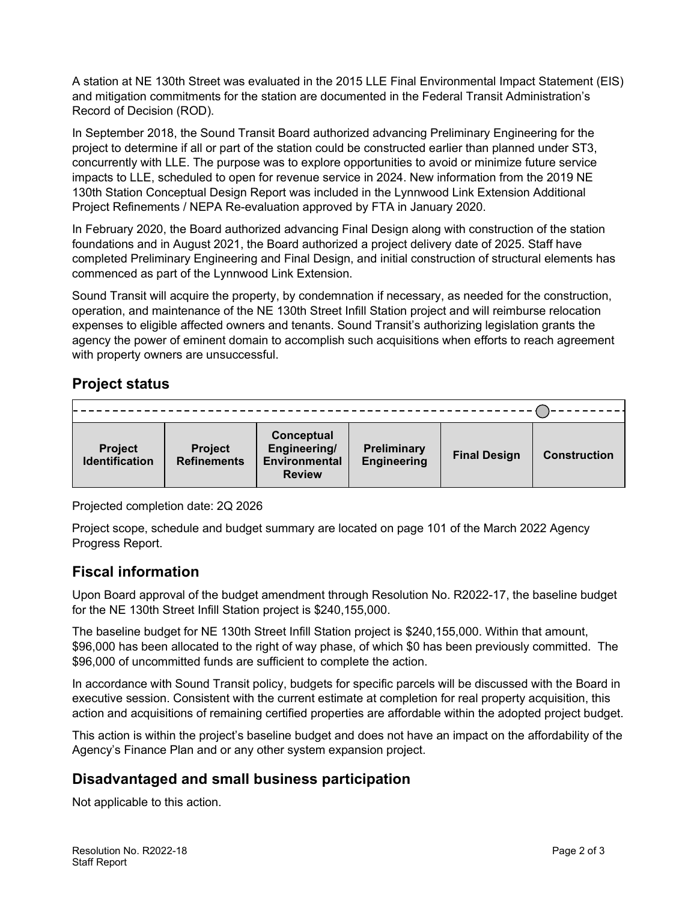A station at NE 130th Street was evaluated in the 2015 LLE Final Environmental Impact Statement (EIS) and mitigation commitments for the station are documented in the Federal Transit Administration's Record of Decision (ROD).

In September 2018, the Sound Transit Board authorized advancing Preliminary Engineering for the project to determine if all or part of the station could be constructed earlier than planned under ST3, concurrently with LLE. The purpose was to explore opportunities to avoid or minimize future service impacts to LLE, scheduled to open for revenue service in 2024. New information from the 2019 NE 130th Station Conceptual Design Report was included in the Lynnwood Link Extension Additional Project Refinements / NEPA Re-evaluation approved by FTA in January 2020.

In February 2020, the Board authorized advancing Final Design along with construction of the station foundations and in August 2021, the Board authorized a project delivery date of 2025. Staff have completed Preliminary Engineering and Final Design, and initial construction of structural elements has commenced as part of the Lynnwood Link Extension.

Sound Transit will acquire the property, by condemnation if necessary, as needed for the construction, operation, and maintenance of the NE 130th Street Infill Station project and will reimburse relocation expenses to eligible affected owners and tenants. Sound Transit's authorizing legislation grants the agency the power of eminent domain to accomplish such acquisitions when efforts to reach agreement with property owners are unsuccessful.

### **Project status**

| <b>Project</b><br><b>Identification</b> | <b>Project</b><br><b>Refinements</b> | Conceptual<br>Engineering/<br>Environmental<br><b>Review</b> | <b>Preliminary</b><br><b>Engineering</b> | <b>Final Design</b> | <b>Construction</b> |
|-----------------------------------------|--------------------------------------|--------------------------------------------------------------|------------------------------------------|---------------------|---------------------|

Projected completion date: 2Q 2026

Project scope, schedule and budget summary are located on page 101 of the March 2022 Agency Progress Report.

#### **Fiscal information**

Upon Board approval of the budget amendment through Resolution No. R2022-17, the baseline budget for the NE 130th Street Infill Station project is \$240,155,000.

The baseline budget for NE 130th Street Infill Station project is \$240,155,000. Within that amount, \$96,000 has been allocated to the right of way phase, of which \$0 has been previously committed. The \$96,000 of uncommitted funds are sufficient to complete the action.

In accordance with Sound Transit policy, budgets for specific parcels will be discussed with the Board in executive session. Consistent with the current estimate at completion for real property acquisition, this action and acquisitions of remaining certified properties are affordable within the adopted project budget.

This action is within the project's baseline budget and does not have an impact on the affordability of the Agency's Finance Plan and or any other system expansion project. 

#### **Disadvantaged and small business participation**

Not applicable to this action.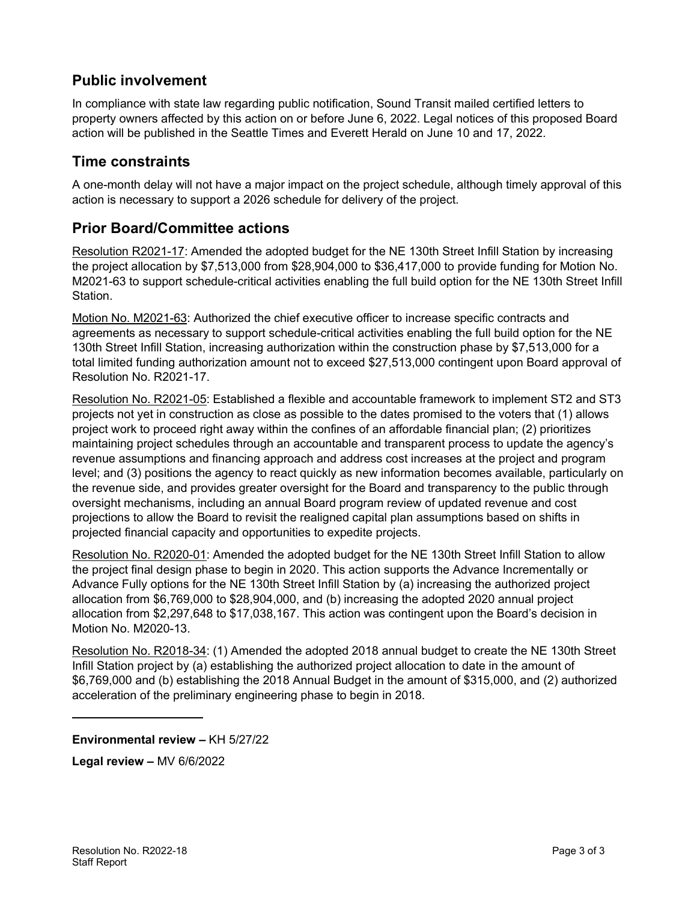### **Public involvement**

In compliance with state law regarding public notification, Sound Transit mailed certified letters to property owners affected by this action on or before June 6, 2022. Legal notices of this proposed Board action will be published in the Seattle Times and Everett Herald on June 10 and 17, 2022.

#### **Time constraints**

A one-month delay will not have a major impact on the project schedule, although timely approval of this action is necessary to support a 2026 schedule for delivery of the project.

#### **Prior Board/Committee actions**

Resolution R2021-17: Amended the adopted budget for the NE 130th Street Infill Station by increasing the project allocation by \$7,513,000 from \$28,904,000 to \$36,417,000 to provide funding for Motion No. M2021-63 to support schedule-critical activities enabling the full build option for the NE 130th Street Infill Station.

Motion No. M2021-63: Authorized the chief executive officer to increase specific contracts and agreements as necessary to support schedule-critical activities enabling the full build option for the NE 130th Street Infill Station, increasing authorization within the construction phase by \$7,513,000 for a total limited funding authorization amount not to exceed \$27,513,000 contingent upon Board approval of Resolution No. R2021-17.

Resolution No. R2021-05: Established a flexible and accountable framework to implement ST2 and ST3 projects not yet in construction as close as possible to the dates promised to the voters that (1) allows project work to proceed right away within the confines of an affordable financial plan; (2) prioritizes maintaining project schedules through an accountable and transparent process to update the agency's revenue assumptions and financing approach and address cost increases at the project and program level; and (3) positions the agency to react quickly as new information becomes available, particularly on the revenue side, and provides greater oversight for the Board and transparency to the public through oversight mechanisms, including an annual Board program review of updated revenue and cost projections to allow the Board to revisit the realigned capital plan assumptions based on shifts in projected financial capacity and opportunities to expedite projects.

Resolution No. R2020-01: Amended the adopted budget for the NE 130th Street Infill Station to allow the project final design phase to begin in 2020. This action supports the Advance Incrementally or Advance Fully options for the NE 130th Street Infill Station by (a) increasing the authorized project allocation from \$6,769,000 to \$28,904,000, and (b) increasing the adopted 2020 annual project allocation from \$2,297,648 to \$17,038,167. This action was contingent upon the Board's decision in Motion No. M2020-13.

Resolution No. R2018-34: (1) Amended the adopted 2018 annual budget to create the NE 130th Street Infill Station project by (a) establishing the authorized project allocation to date in the amount of \$6,769,000 and (b) establishing the 2018 Annual Budget in the amount of \$315,000, and (2) authorized acceleration of the preliminary engineering phase to begin in 2018.

**Environmental review –** KH 5/27/22

**Legal review –** MV 6/6/2022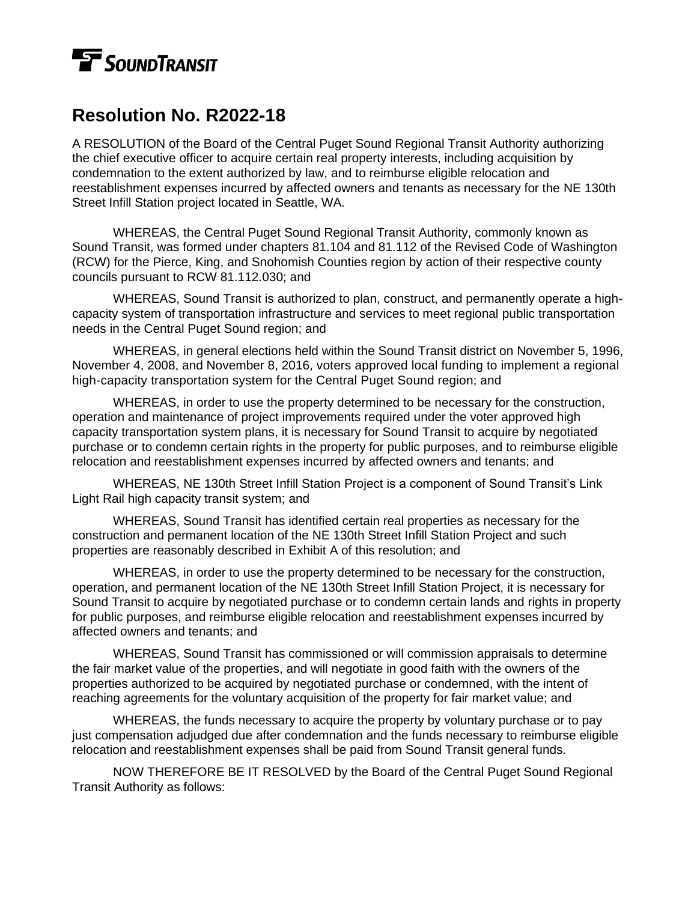# **T** SOUNDTRANSIT

# **Resolution No. R2022-18**

A RESOLUTION of the Board of the Central Puget Sound Regional Transit Authority authorizing the chief executive officer to acquire certain real property interests, including acquisition by condemnation to the extent authorized by law, and to reimburse eligible relocation and reestablishment expenses incurred by affected owners and tenants as necessary for the NE 130th Street Infill Station project located in Seattle, WA.

WHEREAS, the Central Puget Sound Regional Transit Authority, commonly known as Sound Transit, was formed under chapters 81.104 and 81.112 of the Revised Code of Washington (RCW) for the Pierce, King, and Snohomish Counties region by action of their respective county councils pursuant to RCW 81.112.030; and

WHEREAS, Sound Transit is authorized to plan, construct, and permanently operate a highcapacity system of transportation infrastructure and services to meet regional public transportation needs in the Central Puget Sound region; and

WHEREAS, in general elections held within the Sound Transit district on November 5, 1996, November 4, 2008, and November 8, 2016, voters approved local funding to implement a regional high-capacity transportation system for the Central Puget Sound region; and

WHEREAS, in order to use the property determined to be necessary for the construction, operation and maintenance of project improvements required under the voter approved high capacity transportation system plans, it is necessary for Sound Transit to acquire by negotiated purchase or to condemn certain rights in the property for public purposes, and to reimburse eligible relocation and reestablishment expenses incurred by affected owners and tenants; and

WHEREAS, NE 130th Street Infill Station Project is a component of Sound Transit's Link Light Rail high capacity transit system; and

WHEREAS, Sound Transit has identified certain real properties as necessary for the construction and permanent location of the NE 130th Street Infill Station Project and such properties are reasonably described in Exhibit A of this resolution; and

WHEREAS, in order to use the property determined to be necessary for the construction, operation, and permanent location of the NE 130th Street Infill Station Project, it is necessary for Sound Transit to acquire by negotiated purchase or to condemn certain lands and rights in property for public purposes, and reimburse eligible relocation and reestablishment expenses incurred by affected owners and tenants; and

WHEREAS, Sound Transit has commissioned or will commission appraisals to determine the fair market value of the properties, and will negotiate in good faith with the owners of the properties authorized to be acquired by negotiated purchase or condemned, with the intent of reaching agreements for the voluntary acquisition of the property for fair market value; and

WHEREAS, the funds necessary to acquire the property by voluntary purchase or to pay just compensation adjudged due after condemnation and the funds necessary to reimburse eligible relocation and reestablishment expenses shall be paid from Sound Transit general funds.

NOW THEREFORE BE IT RESOLVED by the Board of the Central Puget Sound Regional Transit Authority as follows: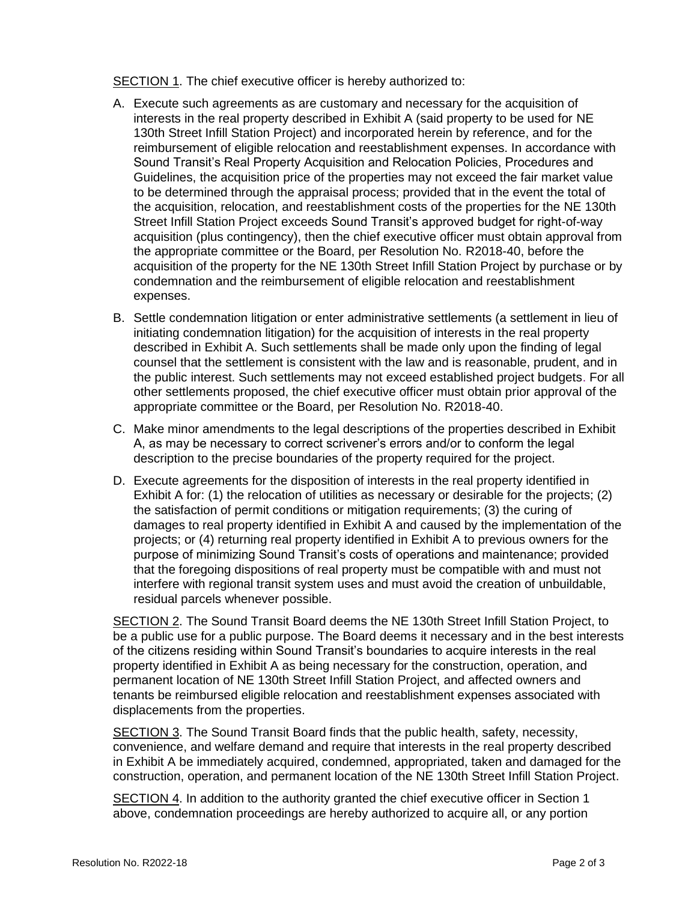SECTION 1. The chief executive officer is hereby authorized to:

- A. Execute such agreements as are customary and necessary for the acquisition of interests in the real property described in Exhibit A (said property to be used for NE 130th Street Infill Station Project) and incorporated herein by reference, and for the reimbursement of eligible relocation and reestablishment expenses. In accordance with Sound Transit's Real Property Acquisition and Relocation Policies, Procedures and Guidelines, the acquisition price of the properties may not exceed the fair market value to be determined through the appraisal process; provided that in the event the total of the acquisition, relocation, and reestablishment costs of the properties for the NE 130th Street Infill Station Project exceeds Sound Transit's approved budget for right-of-way acquisition (plus contingency), then the chief executive officer must obtain approval from the appropriate committee or the Board, per Resolution No. R2018-40, before the acquisition of the property for the NE 130th Street Infill Station Project by purchase or by condemnation and the reimbursement of eligible relocation and reestablishment expenses.
- B. Settle condemnation litigation or enter administrative settlements (a settlement in lieu of initiating condemnation litigation) for the acquisition of interests in the real property described in Exhibit A. Such settlements shall be made only upon the finding of legal counsel that the settlement is consistent with the law and is reasonable, prudent, and in the public interest. Such settlements may not exceed established project budgets. For all other settlements proposed, the chief executive officer must obtain prior approval of the appropriate committee or the Board, per Resolution No. R2018-40.
- C. Make minor amendments to the legal descriptions of the properties described in Exhibit A, as may be necessary to correct scrivener's errors and/or to conform the legal description to the precise boundaries of the property required for the project.
- D. Execute agreements for the disposition of interests in the real property identified in Exhibit A for: (1) the relocation of utilities as necessary or desirable for the projects; (2) the satisfaction of permit conditions or mitigation requirements; (3) the curing of damages to real property identified in Exhibit A and caused by the implementation of the projects; or (4) returning real property identified in Exhibit A to previous owners for the purpose of minimizing Sound Transit's costs of operations and maintenance; provided that the foregoing dispositions of real property must be compatible with and must not interfere with regional transit system uses and must avoid the creation of unbuildable, residual parcels whenever possible.

SECTION 2. The Sound Transit Board deems the NE 130th Street Infill Station Project, to be a public use for a public purpose. The Board deems it necessary and in the best interests of the citizens residing within Sound Transit's boundaries to acquire interests in the real property identified in Exhibit A as being necessary for the construction, operation, and permanent location of NE 130th Street Infill Station Project, and affected owners and tenants be reimbursed eligible relocation and reestablishment expenses associated with displacements from the properties.

SECTION 3. The Sound Transit Board finds that the public health, safety, necessity, convenience, and welfare demand and require that interests in the real property described in Exhibit A be immediately acquired, condemned, appropriated, taken and damaged for the construction, operation, and permanent location of the NE 130th Street Infill Station Project.

SECTION 4. In addition to the authority granted the chief executive officer in Section 1 above, condemnation proceedings are hereby authorized to acquire all, or any portion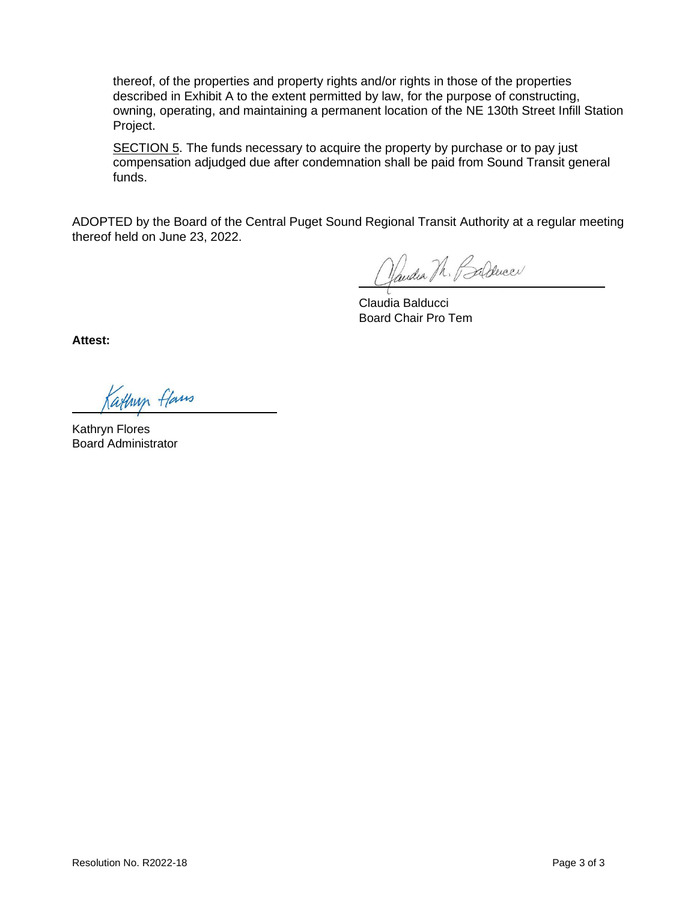thereof, of the properties and property rights and/or rights in those of the properties described in Exhibit A to the extent permitted by law, for the purpose of constructing, owning, operating, and maintaining a permanent location of the NE 130th Street Infill Station Project.

SECTION 5. The funds necessary to acquire the property by purchase or to pay just compensation adjudged due after condemnation shall be paid from Sound Transit general funds.

ADOPTED by the Board of the Central Puget Sound Regional Transit Authority at a regular meeting thereof held on June 23, 2022.

Vandia Th. Parlence

Claudia Balducci Board Chair Pro Tem

**Attest:**

Kathup flans

Kathryn Flores Board Administrator